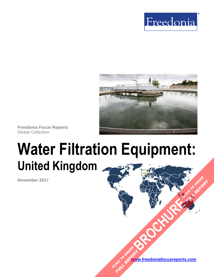



**Freedonia Focus Reports** Global Collection

# **Water Filtration Equipment: United Kingdom**

**November 2017**

**[www.freedoniafocusreports.com](https://www.freedoniafocusreports.com/redirect.asp?progid=89534&url=/)** CLICK TO ORDER **FULL REPORT** 

**[BROCHURE](https://www.freedoniafocusreports.com/Water-Filtration-Equipment-United-Kingdom-FB70037/?progid=89541) CLICK TO ORDER** 

**FULL REPORT**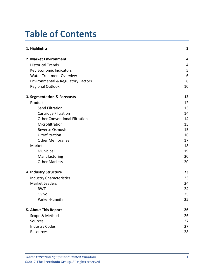# **Table of Contents**

| 1. Highlights                                 |    |
|-----------------------------------------------|----|
| 2. Market Environment                         | 4  |
| <b>Historical Trends</b>                      | 4  |
| Key Economic Indicators                       | 5  |
| <b>Water Treatment Overview</b>               | 6  |
| <b>Environmental &amp; Regulatory Factors</b> | 8  |
| <b>Regional Outlook</b>                       | 10 |
| 3. Segmentation & Forecasts                   | 12 |
| Products                                      | 12 |
| <b>Sand Filtration</b>                        | 13 |
| Cartridge Filtration                          | 14 |
| <b>Other Conventional Filtration</b>          |    |
| Microfiltration                               | 15 |
| <b>Reverse Osmosis</b>                        | 15 |
| Ultrafiltration                               | 16 |
| <b>Other Membranes</b>                        | 17 |
| Markets                                       | 18 |
| Municipal                                     | 19 |
| Manufacturing                                 | 20 |
| <b>Other Markets</b>                          | 20 |
| 4. Industry Structure                         | 23 |
| <b>Industry Characteristics</b>               | 23 |
| <b>Market Leaders</b>                         | 24 |
| <b>BWT</b>                                    | 24 |
| Ovivo                                         | 25 |
| Parker-Hannifin                               | 25 |
| 5. About This Report                          | 26 |
| Scope & Method                                | 26 |
| Sources                                       | 27 |
| <b>Industry Codes</b>                         | 27 |
| Resources                                     | 28 |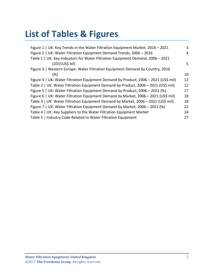# **List of Tables & Figures**

| Figure 1   UK: Key Trends in the Water Filtration Equipment Market, 2016 - 2021     | 3  |
|-------------------------------------------------------------------------------------|----|
| Figure 2   UK: Water Filtration Equipment Demand Trends, 2006 - 2016                | 4  |
| Table 1   UK: Key Indicators for Water Filtration Equipment Demand, 2006 - 2021     |    |
| (2015US\$ bil)                                                                      | 5  |
| Figure 3   Western Europe: Water Filtration Equipment Demand by Country, 2016       |    |
| $(\%)$                                                                              | 10 |
| Figure 4   UK: Water Filtration Equipment Demand by Product, 2006 - 2021 (US\$ mil) | 12 |
| Table 2   UK: Water Filtration Equipment Demand by Product, 2006 - 2021 (US\$ mil)  | 12 |
| Figure 5   UK: Water Filtration Equipment Demand by Product, 2006 - 2021 (%)        | 17 |
| Figure 6   UK: Water Filtration Equipment Demand by Market, 2006 - 2021 (US\$ mil)  | 18 |
| Table 3   UK: Water Filtration Equipment Demand by Market, 2006 - 2021 (US\$ mil)   | 18 |
| Figure 7   UK: Water Filtration Equipment Demand by Market, 2006 - 2021 (%)         | 22 |
| Table 4   UK: Key Suppliers to the Water Filtration Equipment Market                | 24 |
| Table 5   Industry Code Related to Water Filtration Equipment                       | 27 |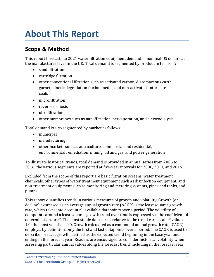# <span id="page-3-0"></span>**About This Report**

# <span id="page-3-1"></span>**Scope & Method**

This report forecasts to 2021 water filtration equipment demand in nominal US dollars at the manufacturer level in the UK. Total demand is segmented by product in terms of:

- sand filtration
- cartridge filtration
- other conventional filtration such as activated carbon, diatomaceous earth, garnet, kinetic degradation fluxion media, and non-activated anthracite coals
- microfiltration
- reverse osmosis
- ultrafiltration
- other membranes such as nanofiltration, pervaporation, and electrodialysis

Total demand is also segmented by market as follows:

- municipal
- manufacturing
- other markets such as aquaculture, commercial and residential, environmental remediation, mining, oil and gas, and power generation

To illustrate historical trends, total demand is provided in annual series from 2006 to 2016; the various segments are reported at five-year intervals for 2006, 2011, and 2016.

Excluded from the scope of this report are basic filtration screens, water treatment chemicals, other types of water treatment equipment such as disinfection equipment, and non-treatment equipment such as monitoring and metering systems, pipes and tanks, and pumps.

This report quantifies trends in various measures of growth and volatility. Growth (or decline) expressed as an average annual growth rate (AAGR) is the least squares growth rate, which takes into account all available datapoints over a period. The volatility of datapoints around a least squares growth trend over time is expressed via the coefficient of determination, or  $r^2$ . The most stable data series relative to the trend carries an  $r^2$  value of 1.0; the most volatile – 0.0. Growth calculated as a compound annual growth rate (CAGR) employs, by definition, only the first and last datapoints over a period. The CAGR is used to describe forecast growth, defined as the expected trend beginning in the base year and ending in the forecast year. Readers are encouraged to consider historical volatility when assessing particular annual values along the forecast trend, including in the forecast year.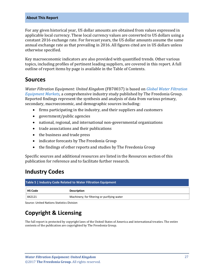#### **About This Report**

For any given historical year, US dollar amounts are obtained from values expressed in applicable local currency. These local currency values are converted to US dollars using a constant 2016 exchange rate. For forecast years, the US dollar amounts assume the same annual exchange rate as that prevailing in 2016. All figures cited are in US dollars unless otherwise specified.

Key macroeconomic indicators are also provided with quantified trends. Other various topics, including profiles of pertinent leading suppliers, are covered in this report. A full outline of report items by page is available in the Table of Contents.

### <span id="page-4-0"></span>**Sources**

*Water Filtration Equipment: United Kingdom* (FB70037) is based on *[Global Water Filtration](http://www.freedoniagroup.com/DocumentDetails.aspx?ReferrerId=FL-FOCUS&studyid=3568)  [Equipment Markets,](http://www.freedoniagroup.com/DocumentDetails.aspx?ReferrerId=FL-FOCUS&studyid=3568)* a comprehensive industry study published by The Freedonia Group. Reported findings represent the synthesis and analysis of data from various primary, secondary, macroeconomic, and demographic sources including:

- firms participating in the industry, and their suppliers and customers
- government/public agencies
- national, regional, and international non-governmental organizations
- trade associations and their publications
- the business and trade press
- indicator forecasts by The Freedonia Group
- the findings of other reports and studies by The Freedonia Group

Specific sources and additional resources are listed in the Resources section of this publication for reference and to facilitate further research.

## <span id="page-4-1"></span>**Industry Codes**

<span id="page-4-2"></span>

| Table 5   Industry Code Related to Water Filtration Equipment |                                             |  |
|---------------------------------------------------------------|---------------------------------------------|--|
| <b>HS Code</b>                                                | <b>Description</b>                          |  |
| 842121                                                        | Machinery; for filtering or purifying water |  |

Source: United Nations Statistics Division

# **Copyright & Licensing**

The full report is protected by copyright laws of the United States of America and international treaties. The entire contents of the publication are copyrighted by The Freedonia Group.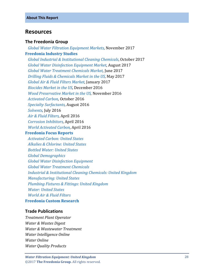### <span id="page-5-0"></span>**Resources**

#### **The Freedonia Group**

 *[Global Water Filtration Equipment Markets,](http://www.freedoniagroup.com/DocumentDetails.aspx?ReferrerId=FL-FOCUS&studyid=3568)* November 2017 **[Freedonia Industry Studies](http://www.freedoniagroup.com/Home.aspx?ReferrerId=FL-Focus)**  *[Global Industrial & Institutional Cleaning Chemicals](http://www.freedoniagroup.com/DocumentDetails.aspx?ReferrerId=FL-FOCUS&studyid=3575)*, October 2017  *[Global Water Disinfection Equipment Market](http://www.freedoniagroup.com/DocumentDetails.aspx?ReferrerId=FL-FOCUS&studyid=3563)*, August 2017  *[Global Water Treatment Chemicals Market,](http://www.freedoniagroup.com/DocumentDetails.aspx?ReferrerId=FL-FOCUS&studyid=3537)* June 2017  *[Drilling Fluids & Chemicals Market in the US,](http://www.freedoniagroup.com/DocumentDetails.aspx?ReferrerId=FL-FOCUS&studyid=3515)* May 2017  *[Global Air & Fluid Filters Market,](http://www.freedoniagroup.com/DocumentDetails.aspx?ReferrerId=FL-FOCUS&studyid=3443)* January 2017  *[Biocides Market in the US,](http://www.freedoniagroup.com/DocumentDetails.aspx?ReferrerId=FL-FOCUS&studyid=3457)* December 2016  *[Wood Preservative Market in the US,](http://www.freedoniagroup.com/DocumentDetails.aspx?ReferrerId=FL-FOCUS&studyid=3456)* November 2016  *[Activated Carbon,](http://www.freedoniagroup.com/DocumentDetails.aspx?ReferrerId=FL-FOCUS&studyid=3467)* October 2016  *[Specialty Surfactants,](http://www.freedoniagroup.com/DocumentDetails.aspx?ReferrerId=FL-FOCUS&studyid=3448)* August 2016  *[Solvents,](http://www.freedoniagroup.com/DocumentDetails.aspx?ReferrerId=FL-FOCUS&studyid=3429)* July 2016  *[Air & Fluid Filters,](http://www.freedoniagroup.com/DocumentDetails.aspx?ReferrerId=FL-FOCUS&studyid=3379)* April 2016  *[Corrosion Inhibitors,](http://www.freedoniagroup.com/DocumentDetails.aspx?ReferrerId=FL-FOCUS&studyid=3409)* April 2016  *[World Activated Carbon,](http://www.freedoniagroup.com/DocumentDetails.aspx?ReferrerId=FL-FOCUS&studyid=3404)* April 2016 **[Freedonia Focus Reports](https://www.freedoniafocusreports.com/redirect.asp?progid=89534&url=/)**  *[Activated Carbon: United States](https://www.freedoniafocusreports.com/Activated-Carbon-United-States-FF35050/) [Alkalies & Chlorine: United States](https://www.freedoniafocusreports.com/Alkalies-Chlorine-United-States-FF35010/) [Bottled Water: United States](https://www.freedoniafocusreports.com/Bottled-Water-United-States-FF10011/) [Global Demographics](https://www.freedoniafocusreports.com/Global-Demographics-FW95050/) [Global Water Disinfection Equipment](https://www.freedoniafocusreports.com/Global-Water-Disinfection-Equipment-FW35066/) [Global Water Treatment Chemicals](https://www.freedoniafocusreports.com/Global-Water-Treatment-Chemicals-FW35039/) [Industrial & Institutional Cleaning Chemicals: United Kingdom](https://www.freedoniafocusreports.com/pub/11575840.html) [Manufacturing: United States](https://www.freedoniafocusreports.com/Manufacturing-United-States-FF70032/) [Plumbing Fixtures & Fittings:](https://www.freedoniafocusreports.com/Plumbing-Fixtures-Fittings-United-Kingdom-FB60035/) United Kingdom [Water: United States](https://www.freedoniafocusreports.com/Water-United-States-FF95025/) [World Air & Fluid Filters](https://www.freedoniafocusreports.com/World-Air-Fluid-Filters-FW70012/)* **[Freedonia Custom Research](http://www.freedoniagroup.com/CustomResearch.aspx?ReferrerId=FL-Focus)**

#### **Trade Publications**

*Treatment Plant Operator Water & Wastes Digest Water & Wastewater Treatment Water Intelligence Online Water Online Water Quality Products*